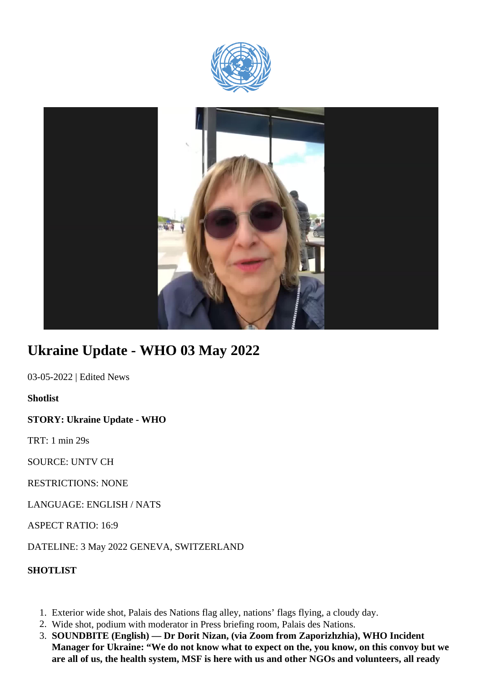



## **Ukraine Update - WHO 03 May 2022**

03-05-2022 | Edited News

**Shotlist**

**STORY: Ukraine Update - WHO**

TRT: 1 min 29s

SOURCE: UNTV CH

RESTRICTIONS: NONE

LANGUAGE: ENGLISH / NATS

ASPECT RATIO: 16:9

DATELINE: 3 May 2022 GENEVA, SWITZERLAND

**SHOTLIST**

- 1. Exterior wide shot, Palais des Nations flag alley, nations' flags flying, a cloudy day.
- 2. Wide shot, podium with moderator in Press briefing room, Palais des Nations.
- 3. **SOUNDBITE (English) Dr Dorit Nizan, (via Zoom from Zaporizhzhia), WHO Incident Manager for Ukraine: "We do not know what to expect on the, you know, on this convoy but we are all of us, the health system, MSF is here with us and other NGOs and volunteers, all ready**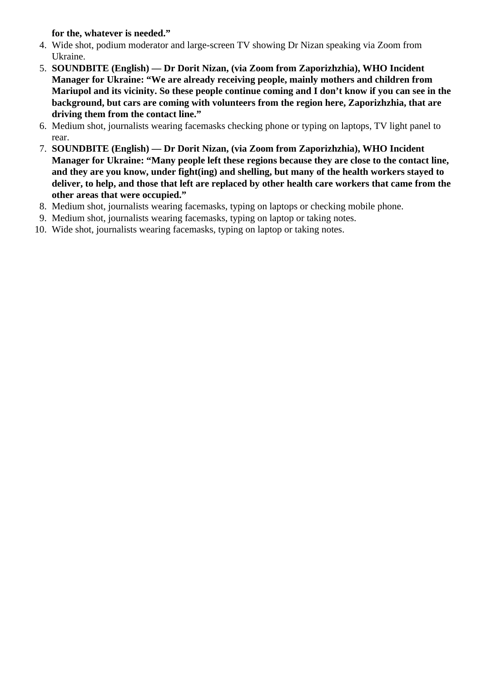**for the, whatever is needed."** 

- 4. Wide shot, podium moderator and large-screen TV showing Dr Nizan speaking via Zoom from Ukraine.
- 5. **SOUNDBITE (English) Dr Dorit Nizan, (via Zoom from Zaporizhzhia), WHO Incident Manager for Ukraine: "We are already receiving people, mainly mothers and children from Mariupol and its vicinity. So these people continue coming and I don't know if you can see in the background, but cars are coming with volunteers from the region here, Zaporizhzhia, that are driving them from the contact line."**
- 6. Medium shot, journalists wearing facemasks checking phone or typing on laptops, TV light panel to rear.
- 7. **SOUNDBITE (English) Dr Dorit Nizan, (via Zoom from Zaporizhzhia), WHO Incident Manager for Ukraine: "Many people left these regions because they are close to the contact line, and they are you know, under fight(ing) and shelling, but many of the health workers stayed to deliver, to help, and those that left are replaced by other health care workers that came from the other areas that were occupied."**
- 8. Medium shot, journalists wearing facemasks, typing on laptops or checking mobile phone.
- 9. Medium shot, journalists wearing facemasks, typing on laptop or taking notes.
- 10. Wide shot, journalists wearing facemasks, typing on laptop or taking notes.